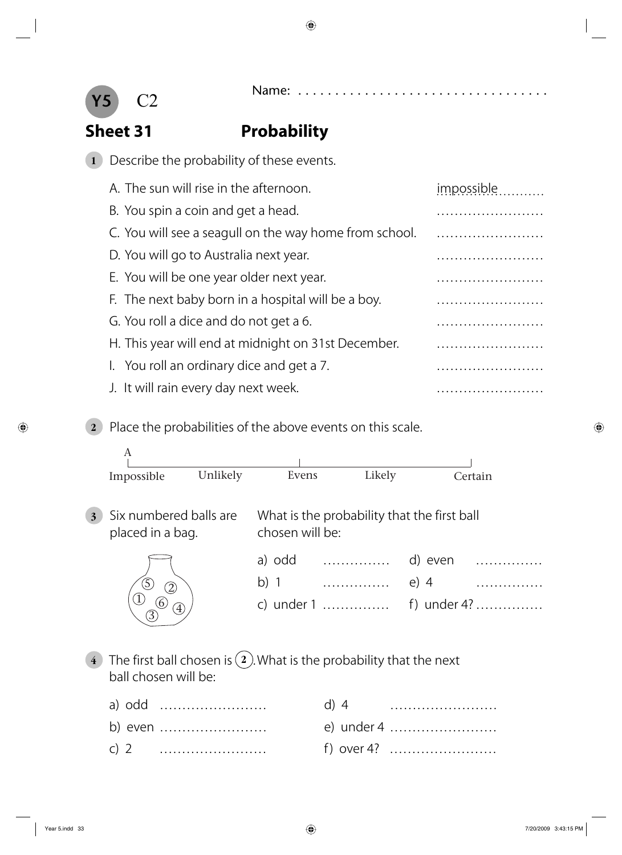



### **Sheet 31 Probability**

**1** Describe the probability of these events.

| A. The sun will rise in the afternoon.                 | impossible |
|--------------------------------------------------------|------------|
| B. You spin a coin and get a head.                     |            |
| C. You will see a seagull on the way home from school. |            |
| D. You will go to Australia next year.                 |            |
| E. You will be one year older next year.               |            |
| F. The next baby born in a hospital will be a boy.     |            |
| G. You roll a dice and do not get a 6.                 |            |
| H. This year will end at midnight on 31st December.    |            |
| I. You roll an ordinary dice and get a 7.              |            |
| J. It will rain every day next week.                   |            |
|                                                        |            |

**2** Place the probabilities of the above events on this scale.



**4** The first ball chosen is **2** . What is the probability that the next ball chosen will be:

|  |         | $d)$ 4 |            |
|--|---------|--------|------------|
|  | b) even |        | e) under 4 |
|  |         |        | f) over 4? |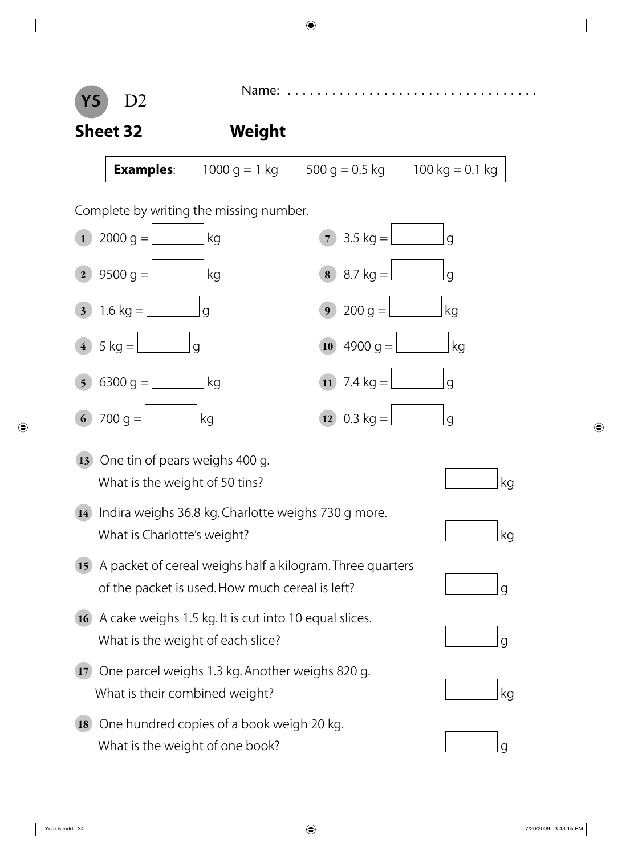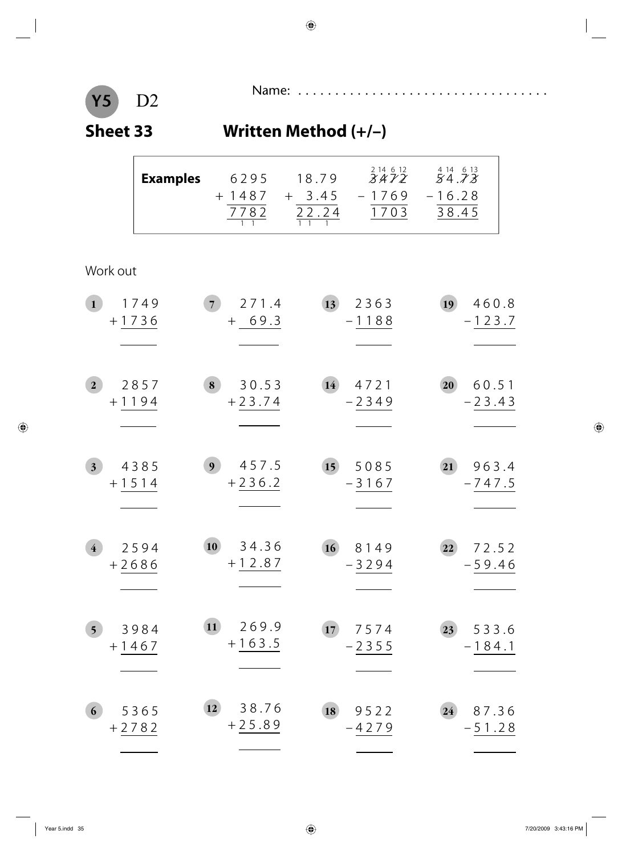# **Y5 Sheet 33 Written Method (+/–)**

Name: . . . . . . . . . . . . . . . . . . . . . . . . . . . . . . . . . . D2

|                                    | <b>Examples</b> |                | 6295<br>$+1487$<br>7782 | 18.79<br>$+ 3.45$<br>$\frac{22.24}{1}$ | 2 14 6 12<br>3472<br>$-1769$<br>1703 | $\overset{4}{5}\overset{14}{4}\overset{6}{.7}\overset{13}{3}$<br>$-16.28$<br>38.45 |  |
|------------------------------------|-----------------|----------------|-------------------------|----------------------------------------|--------------------------------------|------------------------------------------------------------------------------------|--|
| Work out                           |                 |                |                         |                                        |                                      |                                                                                    |  |
| $\mathbf{1}$                       | 1749<br>$+1736$ | 7 <sup>1</sup> | 271.4<br>$+ 69.3$       | 13                                     | 2363<br>$-1188$                      | 19<br>460.8<br>$-123.7$                                                            |  |
| $\overline{2}$                     | 2857<br>$+1194$ | 8              | 30.53<br>$+23.74$       | 14                                     | 4721<br>$-2349$                      | 20<br>60.51<br>$-23.43$                                                            |  |
| 3 <sup>1</sup>                     | 4385<br>$+1514$ | 9 <sub>1</sub> | 457.5<br>$+236.2$       | 15 <sup>2</sup>                        | 5085<br>$-3167$                      | 963.4<br>21<br>$-747.5$                                                            |  |
| $\overline{\mathbf{4}}$<br>$+2686$ | 2594            | 10             | 34.36<br>$+12.87$       | 16                                     | 8149<br>3294                         | 72.52<br>22<br>59.46                                                               |  |
| 5 <sup>5</sup>                     | 3984<br>$+1467$ | 11)            | 269.9<br>$+163.5$       | 17                                     | 7574<br>$-2355$                      | 533.6<br>23<br>$-184.1$                                                            |  |
| 6                                  | 5365<br>$+2782$ | 12             | 38.76<br>$+25.89$       | 18                                     | 9522<br>-4279                        | 87.36<br>24<br>$-51.28$                                                            |  |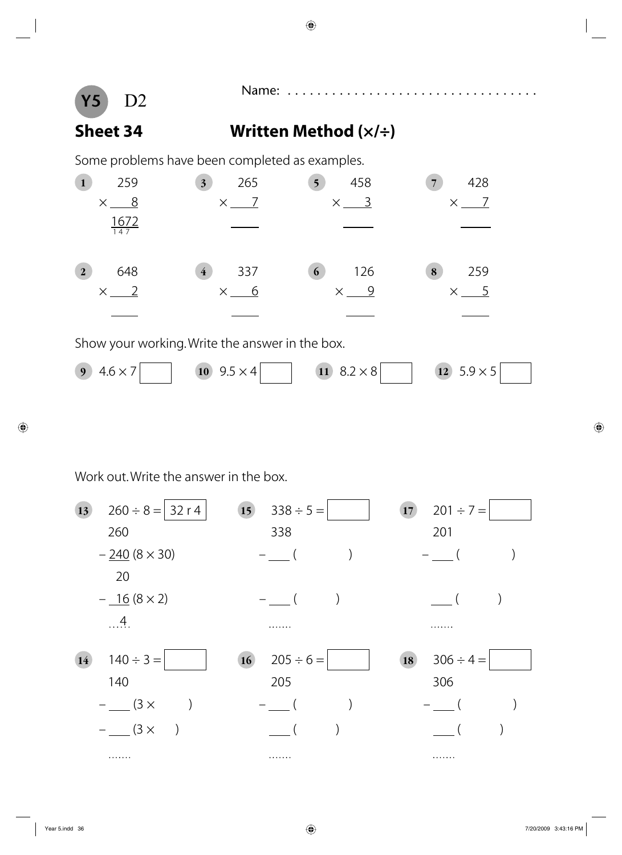

### **Sheet 34 Written Method (×/÷)**

Some problems have been completed as examples.

| 259                | 265                                             | 458                       | 428                        |
|--------------------|-------------------------------------------------|---------------------------|----------------------------|
|                    | $\overline{\mathbf{3}}$                         | 5 <sup>5</sup>            | $\overline{7}$             |
| 8                  | $\overline{7}$                                  | $\overline{\phantom{0}3}$ | $\overline{7}$             |
| $\times$           | $\times$                                        | $\times$                  | $\times$                   |
| $\frac{1672}{147}$ |                                                 |                           |                            |
| 648                | 337                                             | 126                       | 259                        |
| $\mathbf{2}$       | $\overline{\mathbf{4}}$                         | 6 <sup>1</sup>            | 8                          |
| $\times$ 2         | $\times$ 6                                      | $\times$ 9                | $\overline{5}$<br>$\times$ |
|                    |                                                 |                           |                            |
|                    | Show your working. Write the answer in the box. |                           |                            |
| $4.6 \times 7$     | 10 $9.5 \times 4$                               | $8.2 \times 8$            | $5.9 \times 5$             |
| $\boldsymbol{9}$   |                                                 | $\vert$ 11                | 12                         |

Work out. Write the answer in the box.

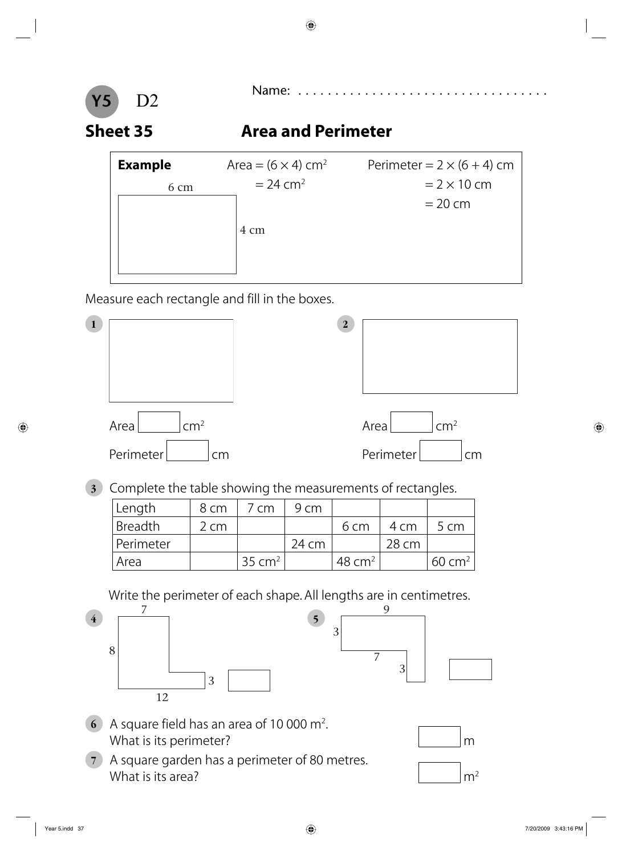

### **Sheet 35 Area and Perimeter**

| <b>Example</b> | Area = $(6 \times 4)$ cm <sup>2</sup> | Perimeter = $2 \times (6 + 4)$ cm |
|----------------|---------------------------------------|-----------------------------------|
| 6 cm           | $= 24$ cm <sup>2</sup>                | $= 2 \times 10$ cm                |
|                |                                       | $= 20$ cm                         |
|                | 4 cm                                  |                                   |

Measure each rectangle and fill in the boxes.



**3** Complete the table showing the measurements of rectangles.

| Length    | 8 cm | 7 cm               | 9 cm  |                    |       |                   |
|-----------|------|--------------------|-------|--------------------|-------|-------------------|
| Breadth   | 2 cm |                    |       | 6 cm               | 4 cm  | 5 cm              |
| Perimeter |      |                    | 24 cm |                    | 28 cm |                   |
| Area      |      | 35 cm <sup>2</sup> |       | 48 cm <sup>2</sup> |       | $60 \text{ cm}^2$ |

Write the perimeter of each shape. All lengths are in centimetres.



- **6** A square field has an area of 10 000 m2 . What is its perimeter? More many contract to the set of the set of the set of the set of the set of the set of the set of the set of the set of the set of the set of the set of the set of the set of the set of the set of t
- **7** A square garden has a perimeter of 80 metres. What is its area?  $\mathsf{m}^2$



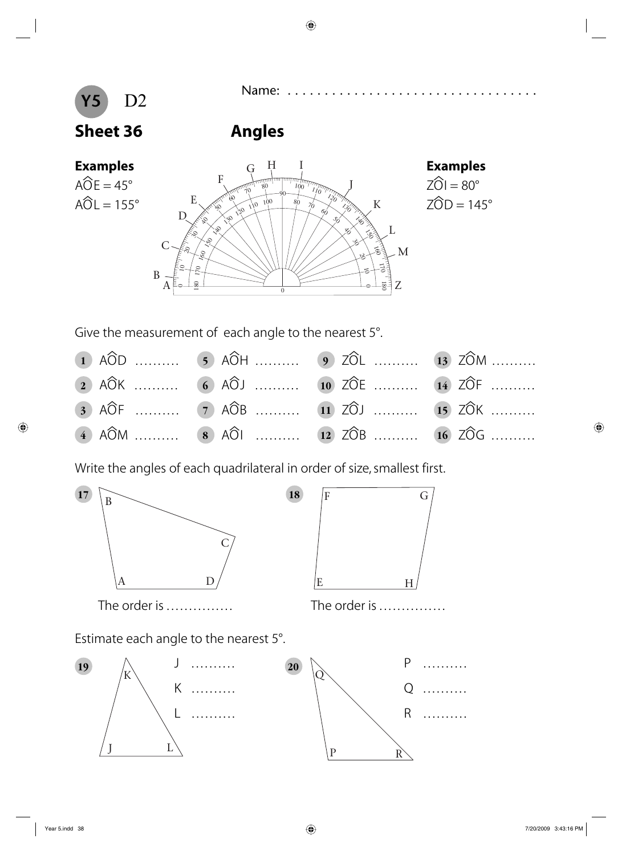# **Y5 Sheet 36 Angles**

 $A\widehat{O}E = 45^\circ$ 





Give the measurement of each angle to the nearest 5°.

| 1 $\widehat{AOD}$ 5 $\widehat{AOH}$ 9 $\widehat{ZOL}$ 13 $\widehat{ZOM}$  |  |
|---------------------------------------------------------------------------|--|
| 2 $\widehat{AOK}$ 6 $\widehat{AOL}$ 10 $\widehat{ZOE}$ 14 $\widehat{ZOF}$ |  |
| 3 AÔF  7 AÔB  11 ZÔJ  15 ZÔK                                              |  |
| 4 $\widehat{AOM}$ 8 $\widehat{AOL}$ 12 $\widehat{ZOB}$ 16 $\widehat{ZOG}$ |  |

Write the angles of each quadrilateral in order of size, smallest first.







Estimate each angle to the nearest 5°.

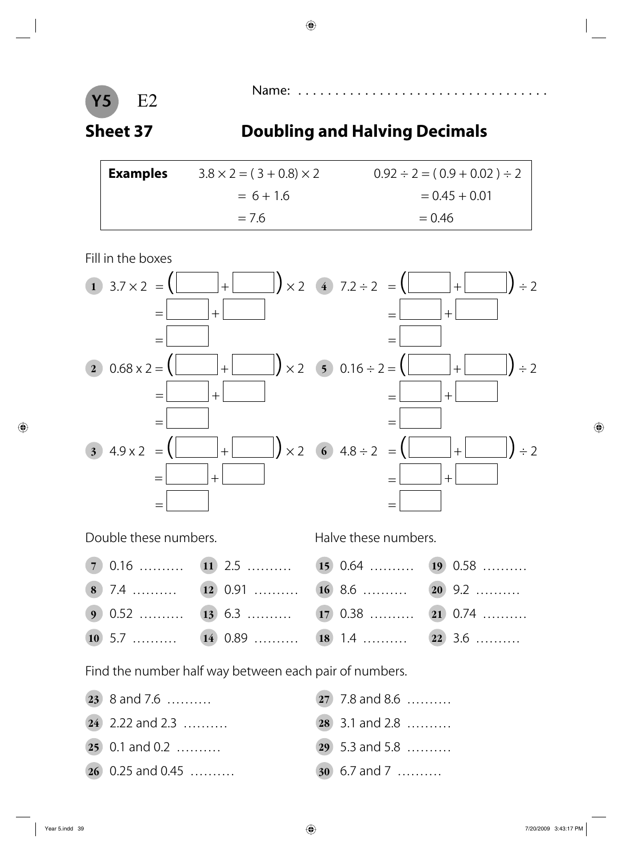



### **Sheet 37 Doubling and Halving Decimals**

| <b>Examples</b> | $3.8 \times 2 = (3 + 0.8) \times 2$ | $0.92 \div 2 = (0.9 + 0.02) \div 2$ |
|-----------------|-------------------------------------|-------------------------------------|
|                 | $= 6 + 1.6$                         | $= 0.45 + 0.01$                     |
|                 | $= 7.6$                             | $= 0.46$                            |

Fill in the boxes



Double these numbers. The state of Halve these numbers.

- **7** 0.16 . . . . . . . . . . **11** 2.5 . . . . . . . . . . **15** 0.64 . . . . . . . . . . **19** 0.58 . . . . . . . . . . **8** 7.4 . . . . . . . . . . **12** 0.91 . . . . . . . . . . **16** 8.6 . . . . . . . . . . **20** 9.2 . . . . . . . . . .
- **9** 0.52 . . . . . . . . **13** 6.3 . . . . . . . . **17** 0.38 . . . . . . . . **21** 0.74 . . . . . . . . . .
- **10** 5.7 . . . . . . . . **14** 0.89 . . . . . . . **18** 1.4 . . . . . . . . . 22 3.6 . . . . . . . . .

Find the number half way between each pair of numbers.

- **23** 8 and 7.6 . . . . . . . . . . **27** 7.8 and 8.6 . . . . . . . . . .
- **25** 0.1 and 0.2 . . . . . . . . . **29** 5.3 and 5.8 . . . . . . . . . . . . . . .
- **26** 0.25 and 0.45 . . . . . . . . . . **30** 6.7 and 7 . . . . . . . . . .
- 
- **24** 2.22 and 2.3 . . . . . . . . . . **28** 3.1 and 2.8 . . . . . . . . . .
	-
	-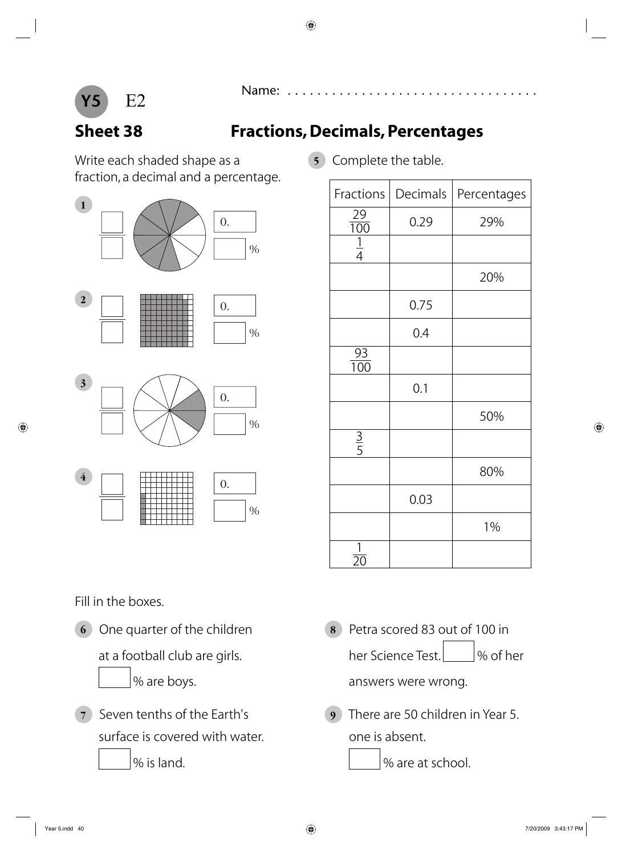

## **Sheet 38 Fractions, Decimals, Percentages**

Write each shaded shape as a **5** Complete the table. fraction, a decimal and a percentage.



| Fractions                        | Decimals | Percentages |
|----------------------------------|----------|-------------|
| 29                               | 0.29     | 29%         |
| $\frac{1}{100}$<br>$\frac{1}{4}$ |          |             |
|                                  |          | 20%         |
|                                  | 0.75     |             |
|                                  | 0.4      |             |
| $\frac{93}{100}$                 |          |             |
|                                  | 0.1      |             |
|                                  |          | 50%         |
| $rac{1}{5}$                      |          |             |
|                                  |          | 80%         |
|                                  | 0.03     |             |
|                                  |          | 1%          |
| 1<br>20                          |          |             |

Fill in the boxes.

%

surface is covered with water. The same is absent.

- **6** One quarter of the children **8** Petra scored 83 out of 100 in at a football club are girls. her Science Test. 4. Most her % are boys. The same control of the answers were wrong.
- **7** Seven tenths of the Earth's **9** There are 50 children in Year 5.

% is land.  $\sqrt{8}$  is land.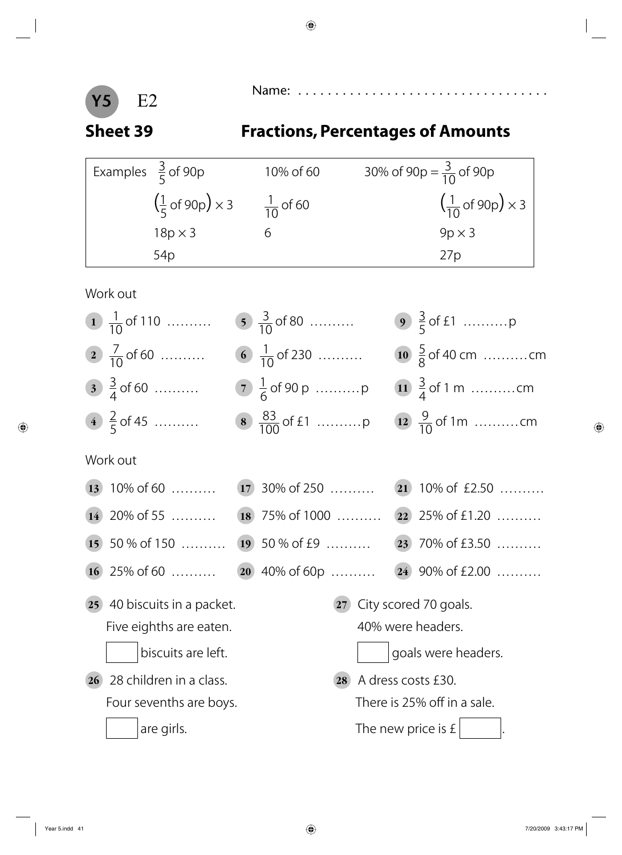

## **Sheet 39 Fractions, Percentages of Amounts**

| Examples $\frac{3}{5}$ of 90p                               | 10% of 60            | 30% of 90p = $\frac{3}{10}$ of 90p                           |
|-------------------------------------------------------------|----------------------|--------------------------------------------------------------|
| $\left(\frac{1}{5} \text{ of } 90 \text{p}\right) \times 3$ | $\frac{1}{10}$ of 60 | $\left(\frac{1}{10} \text{ of } 90 \text{p}\right) \times 3$ |
| $18p \times 3$                                              |                      | $9p \times 3$                                                |
| 54 <sub>p</sub>                                             |                      | 27p                                                          |

Work out

| 1 $\frac{1}{10}$ of 110        | 5 $\frac{3}{10}$ of 80     |                      |                              |
|--------------------------------|----------------------------|----------------------|------------------------------|
| 2 $\frac{7}{10}$ of 60         | 6 $\frac{1}{10}$ of 230    |                      | 10 $\frac{5}{8}$ of 40 cm cm |
| $3\frac{3}{4}$ of 60           | 7 $\frac{1}{6}$ of 90 p  p |                      | 11 $\frac{3}{4}$ of 1 m cm   |
| 4 $\frac{2}{5}$ of 45          |                            |                      | 12 $\frac{9}{10}$ of 1m cm   |
| Work out                       |                            |                      |                              |
| $(13)$ 10% of 60               | $(17)$ 30% of 250          |                      | $(21)$ 10% of £2.50          |
| $(14)$ 20% of 55               | $(18)$ 75% of 1000         |                      | ( $22$ ) 25% of £1.20        |
| $(15)$ 50 % of 150             | $(19)$ 50 % of £9          |                      | (23) 70% of £3.50            |
| $(16)$ 25% of 60               | $(20)$ 40% of 60p          |                      | $(24)$ 90% of £2.00          |
| 25 40 biscuits in a packet.    | 27                         |                      | City scored 70 goals.        |
| Five eighths are eaten.        |                            | 40% were headers.    |                              |
| biscuits are left.             |                            |                      | goals were headers.          |
| 28 children in a class.<br>26) | <b>28</b>                  | A dress costs £30.   |                              |
| Four sevenths are boys.        |                            |                      | There is 25% off in a sale.  |
| are girls.                     |                            | The new price is $f$ |                              |
|                                |                            |                      |                              |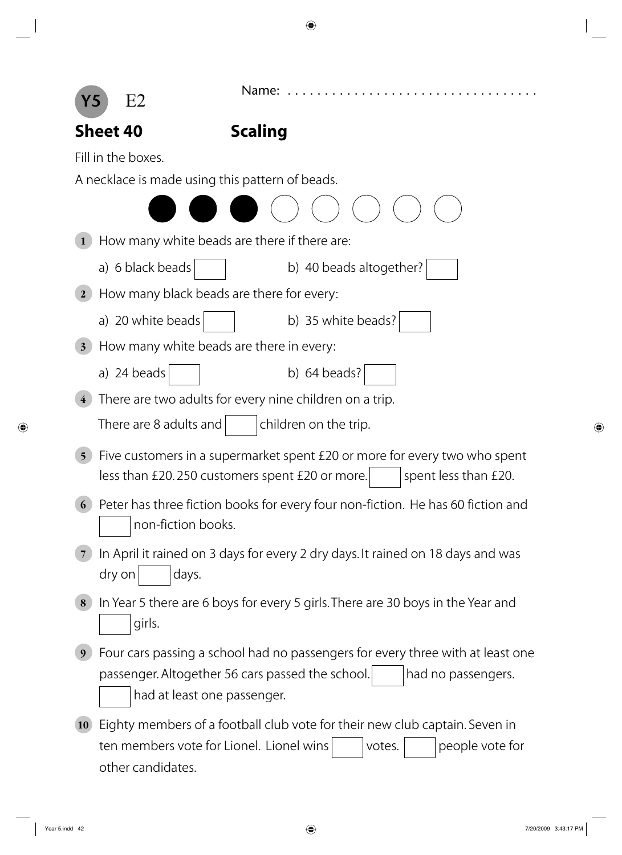

|                         | <b>Sheet 40</b>                                 | <b>Scaling</b>                                                                  |
|-------------------------|-------------------------------------------------|---------------------------------------------------------------------------------|
|                         | Fill in the boxes.                              |                                                                                 |
|                         | A necklace is made using this pattern of beads. |                                                                                 |
|                         |                                                 |                                                                                 |
|                         | How many white beads are there if there are:    |                                                                                 |
|                         | a) 6 black beads                                | b) 40 beads altogether?                                                         |
| $\bf{2}$                | How many black beads are there for every:       |                                                                                 |
|                         | a) 20 white beads                               | b) 35 white beads?                                                              |
| $\overline{\mathbf{3}}$ | How many white beads are there in every:        |                                                                                 |
|                         | a) 24 beads                                     | b) $64$ beads?                                                                  |
| $\overline{\textbf{4}}$ |                                                 | There are two adults for every nine children on a trip.                         |
|                         | There are 8 adults and                          | children on the trip.                                                           |
| 5 <sup>5</sup>          |                                                 | Five customers in a supermarket spent £20 or more for every two who spent       |
|                         |                                                 | spent less than £20.<br>less than £20.250 customers spent £20 or more.          |
| 6                       |                                                 | Peter has three fiction books for every four non-fiction. He has 60 fiction and |
|                         | non-fiction books.                              |                                                                                 |
|                         |                                                 | In April it rained on 3 days for every 2 dry days. It rained on 18 days and was |
|                         | dry on<br>days.                                 |                                                                                 |
| 8                       |                                                 | In Year 5 there are 6 boys for every 5 girls. There are 30 boys in the Year and |
|                         | girls.                                          |                                                                                 |
| 9                       |                                                 | Four cars passing a school had no passengers for every three with at least one  |
|                         |                                                 | passenger. Altogether 56 cars passed the school.<br>had no passengers.          |
|                         | had at least one passenger.                     |                                                                                 |
| <b>10</b>               |                                                 | Eighty members of a football club vote for their new club captain. Seven in     |

ten members vote for Lionel. Lionel wins votes. people vote for other candidates.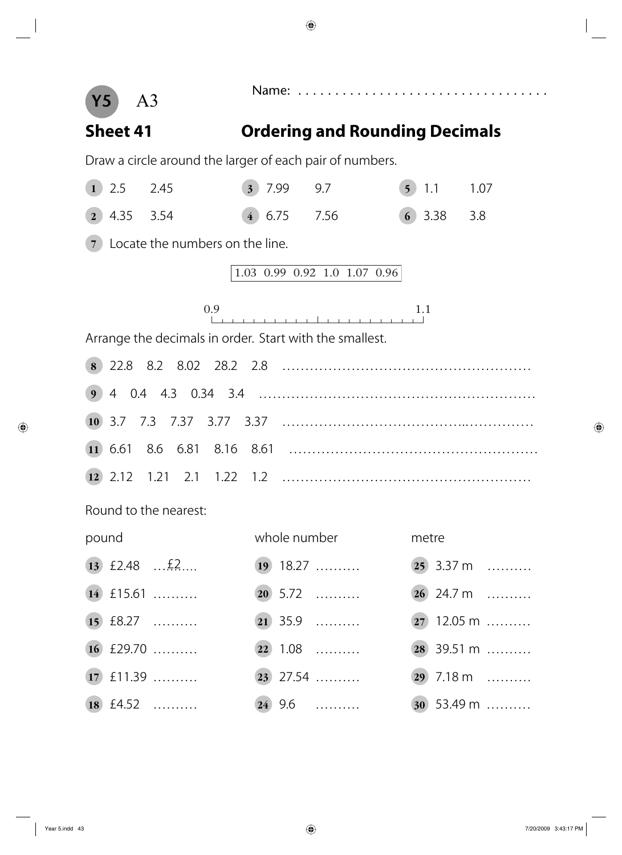**Y5**

Name: . . . . . . . . . . . . . . . . . . . . . . . . . . . . . . . . . . A3

### **Sheet 41 Ordering and Rounding Decimals**

Draw a circle around the larger of each pair of numbers.

| $\mathbf{1}$   | 2.5  | 2.45                                                    | $3 \mid 7.99$ |              | 9.7                          | $5 \mid 1.1$ | 1.07           |
|----------------|------|---------------------------------------------------------|---------------|--------------|------------------------------|--------------|----------------|
| $\overline{2}$ | 4.35 | 3.54                                                    |               | $4 \ 6.75$   | 7.56                         | $6)$ 3.38    | 3.8            |
|                |      | (7) Locate the numbers on the line.                     |               |              |                              |              |                |
|                |      |                                                         |               |              | 1.03 0.99 0.92 1.0 1.07 0.96 |              |                |
|                |      | 0.9                                                     |               |              |                              | 1.1          |                |
|                |      | Arrange the decimals in order. Start with the smallest. |               |              |                              |              |                |
|                |      |                                                         |               |              |                              |              |                |
|                |      |                                                         |               |              |                              |              |                |
|                |      |                                                         |               |              |                              |              |                |
|                |      |                                                         |               |              |                              |              |                |
|                |      |                                                         |               |              |                              |              |                |
|                |      | Round to the nearest:                                   |               |              |                              |              |                |
| pound          |      |                                                         |               | whole number |                              | metre        |                |
|                |      | $13$ £2.48 $\frac{2}{3}$                                |               |              | $\boxed{19}$ 18.27           |              | $(25)$ 3.37 m  |
|                |      | $(14)$ £15.61                                           |               |              | $20\,5.72\,$                 |              | $26$ 24.7 m    |
|                |      | 15 £8.27                                                |               |              | $(21)$ 35.9                  |              | $(27)$ 12.05 m |
|                |      | $16$ £29.70                                             |               |              | $(22)$ 1.08                  |              | $(28)$ 39.51 m |
|                |      | 17 £11.39                                               |               |              | $(23)$ 27.54                 |              | $(29)$ 7.18 m  |
|                |      | 18 $f4.52$                                              |               |              | $(24)$ 9.6                   |              | $30\,$ 53.49 m |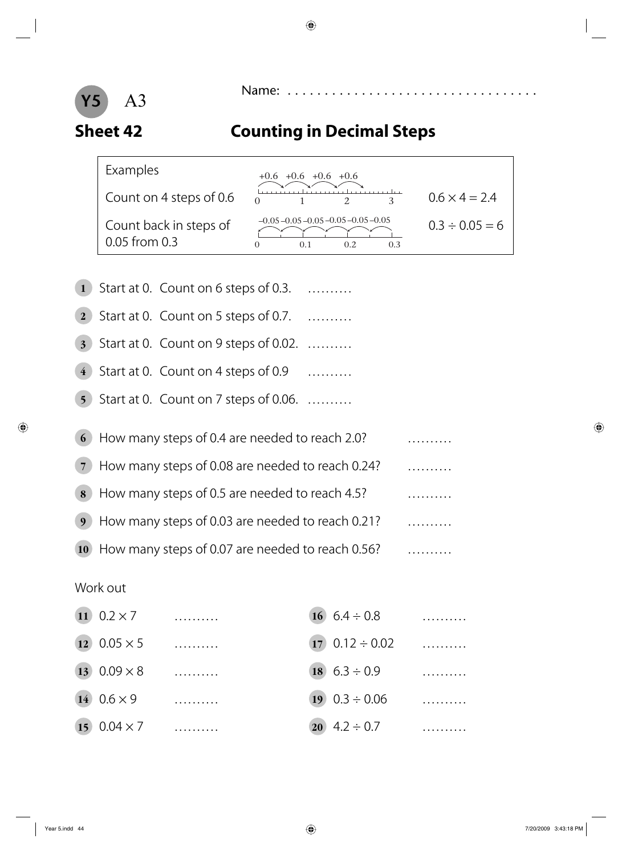

### **Sheet 42 Counting in Decimal Steps**

| Examples                                  | $+0.6$ $+0.6$ $+0.6$ $+0.6$                                            |                      |
|-------------------------------------------|------------------------------------------------------------------------|----------------------|
| Count on 4 steps of 0.6                   |                                                                        | $0.6 \times 4 = 2.4$ |
| Count back in steps of<br>$0.05$ from 0.3 | $-0.05 - 0.05 - 0.05 - 0.05 - 0.05 - 0.05$<br>$\mathbf{\Omega}$<br>0.3 | $0.3 \div 0.05 = 6$  |

|  | 1 Start at 0. Count on 6 steps of 0.3. |   |
|--|----------------------------------------|---|
|  |                                        |   |
|  |                                        | . |
|  |                                        |   |

- **2** Start at 0. Count on 5 steps of 0.7. . . . . . . . . . .
- **3** Start at 0. Count on 9 steps of 0.02. .........
- 4 Start at 0. Count on 4 steps of 0.9 ..........
- **5** Start at 0. Count on 7 steps of 0.06. .........

| 6 How many steps of 0.4 are needed to reach 2.0?     |  |
|------------------------------------------------------|--|
| (7) How many steps of 0.08 are needed to reach 0.24? |  |
| 8 How many steps of 0.5 are needed to reach 4.5?     |  |
| 9 How many steps of 0.03 are needed to reach 0.21?   |  |
| 10 How many steps of 0.07 are needed to reach 0.56?  |  |

### Work out

| 11 $0.2 \times 7$      |  | 16 $6.4 \div 0.8$        |  |
|------------------------|--|--------------------------|--|
| $(12)$ 0.05 $\times$ 5 |  | $(17)$ 0.12 ÷ 0.02       |  |
| 13 $0.09 \times 8$     |  | $18$ 6.3 ÷ 0.9           |  |
| $140.6 \times 9$       |  | $19 \quad 0.3 \div 0.06$ |  |
| 15 $0.04 \times 7$     |  | 20 $4.2 \div 0.7$        |  |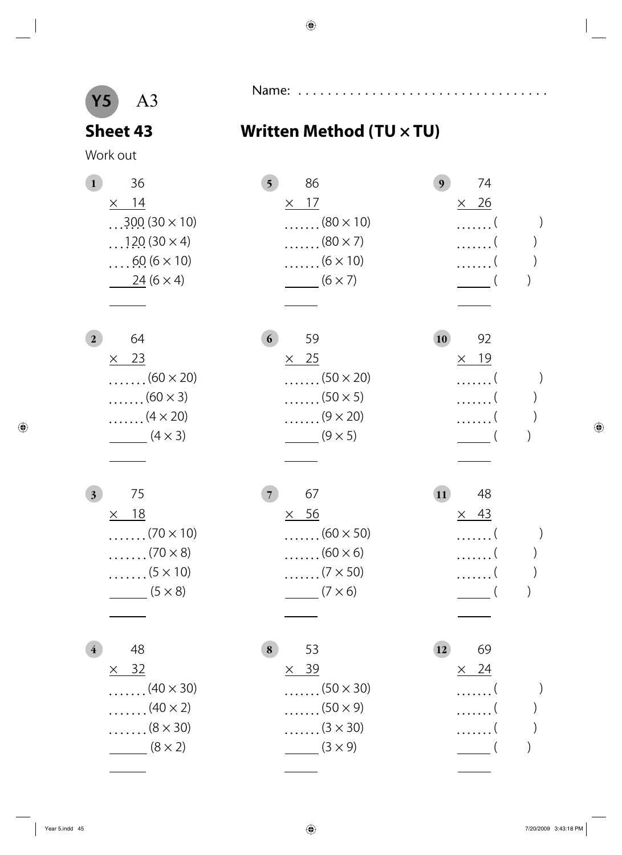

### Sheet 43 Written Method (TU  $\times$  TU)

Work out

| 36<br>$\mathbf{1}$              | 86<br>5 <sup>5</sup>           | 74<br>9                    |
|---------------------------------|--------------------------------|----------------------------|
| $\times$ 14                     | $\times$ 17                    | $\times$ 26                |
| $300(30 \times 10)$             | $\ldots \ldots (80 \times 10)$ | $\left( \right)$<br>. (    |
| $$ 120 (30 $\times$ 4)          | $\ldots \ldots (80 \times 7)$  | . (                        |
| $\ldots$ 60 (6 $\times$ 10)     | $\ldots \ldots (6 \times 10)$  | . (                        |
| $24(6 \times 4)$                | $\frac{1}{\sqrt{2}}$ (6 × 7)   |                            |
|                                 |                                |                            |
| 64<br>$\mathbf{2}$              | 59<br>6                        | 92<br><b>10</b>            |
| $\times$ 23                     | $\times$ 25                    | $\times$ 19                |
| $\ldots \ldots (60 \times 20)$  | $\ldots \ldots (50 \times 20)$ | . (                        |
| $\ldots \ldots (60 \times 3)$   | $\ldots \ldots (50 \times 5)$  | . (                        |
| $\ldots \ldots$ (4 $\times$ 20) | $\ldots \ldots (9 \times 20)$  | .                          |
| $(4 \times 3)$                  | $(9 \times 5)$                 |                            |
|                                 |                                |                            |
| 75<br>3 <sub>1</sub>            | 67<br>7 <sup>1</sup>           | $\overline{11}$<br>48      |
| $\times$ 18                     | $\times$ 56                    | $\times$ 43                |
| $\ldots \ldots (70 \times 10)$  | $\ldots \ldots (60 \times 50)$ | . (                        |
| $\ldots \ldots (70 \times 8)$   | $\ldots \ldots (60 \times 6)$  | . (                        |
| $\ldots \ldots (5 \times 10)$   | $\ldots \ldots (7 \times 50)$  |                            |
| $\frac{1}{\sqrt{5 \times 8}}$   | $(7 \times 6)$                 | $\left($                   |
|                                 |                                |                            |
| 48<br>$\overline{4}$            | 53<br>8                        | 69<br><b>12</b>            |
| 32<br>$\times$                  | $\times$ 39                    | $\frac{24}{ }$<br>$\times$ |
| $\ldots$ (40 $\times$ 30)       | <sup>(50</sup> $\times$ 30)    |                            |
| $\ldots \ldots$ (40 $\times$ 2) | $\ldots \ldots (50 \times 9)$  |                            |
| $\ldots \ldots (8 \times 30)$   | $\ldots \ldots (3 \times 30)$  |                            |

 $(8 \times 2)$  (3 × 9) (3 × 9) (1)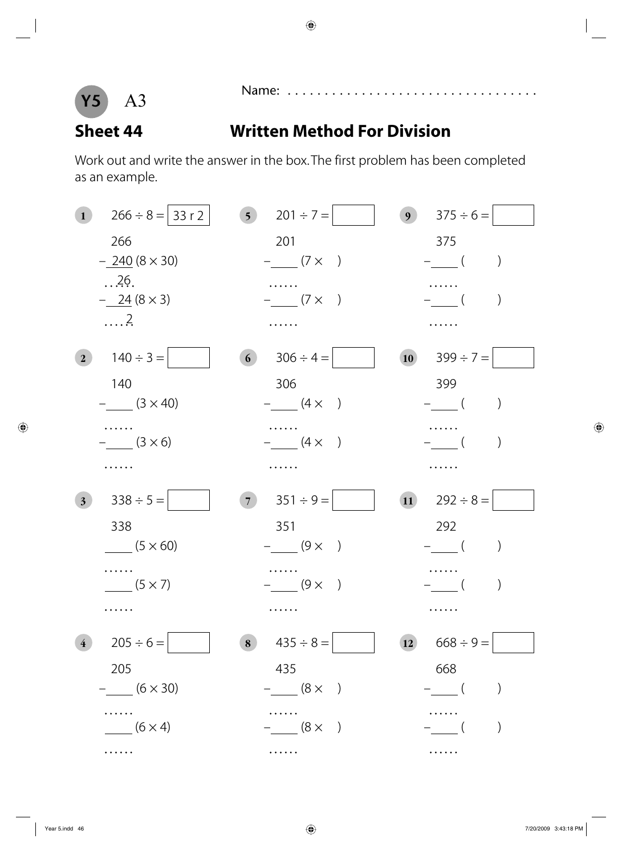

### **Sheet 44 Written Method For Division**

Work out and write the answer in the box. The first problem has been completed as an example.

| $\mathbf{1}$   | $266 \div 8 =  33 r 2 $        | 5 $201 \div 7 =$     | $375 \div 6 =$<br>9 <sup>1</sup>                  |
|----------------|--------------------------------|----------------------|---------------------------------------------------|
|                | 266                            | 201                  | 375                                               |
|                | $-240(8\times30)$              | $-$ (7 $\times$ )    | $-\underline{\hspace{1cm}}$ (<br>$\left( \right)$ |
|                | .26.                           |                      |                                                   |
|                | $-\underline{24} (8 \times 3)$ | $-$ (7 $\times$ )    | $\left( \right)$<br>$-$ (                         |
|                | $\ldots$ .                     |                      |                                                   |
| 2 <sup>1</sup> | $140 \div 3 =$                 | $306 \div 4 =$<br>6) | $399 \div 7 =$<br>10                              |
|                | 140                            | 306                  | 399                                               |
|                | $ (3 \times 40)$               | $ (4 \times )$       | $-$ (                                             |
|                |                                |                      |                                                   |
|                | $- (3 \times 6)$               | $ (4 \times )$       |                                                   |
|                |                                |                      |                                                   |
|                |                                |                      |                                                   |
| 3 <sup>1</sup> | $338 \div 5 =$                 | $351 \div 9 =$<br>7) | $292 \div 8 =$<br>$\overline{11}$                 |
|                | 338                            | 351                  | 292                                               |
|                | $(5 \times 60)$                | $-$ (9 $\times$ )    | $-$ (<br>$\left( \right)$                         |
|                |                                |                      |                                                   |
|                | $(5 \times 7)$                 | $-$ (9 $\times$ )    |                                                   |
|                |                                |                      |                                                   |
| $\overline{4}$ | $205 \div 6 =$                 | $435 \div 8 =$<br>8  | $668 \div 9 =$<br>12                              |
|                | 205                            | 435                  | 668                                               |
|                | $-$ (6 $\times$ 30)            | $-$ (8 $\times$ )    | $-\underline{\hspace{1cm}}$ (                     |
|                |                                |                      |                                                   |
|                | $(6 \times 4)$                 | $ (8 \times )$       | $\left( \right)$                                  |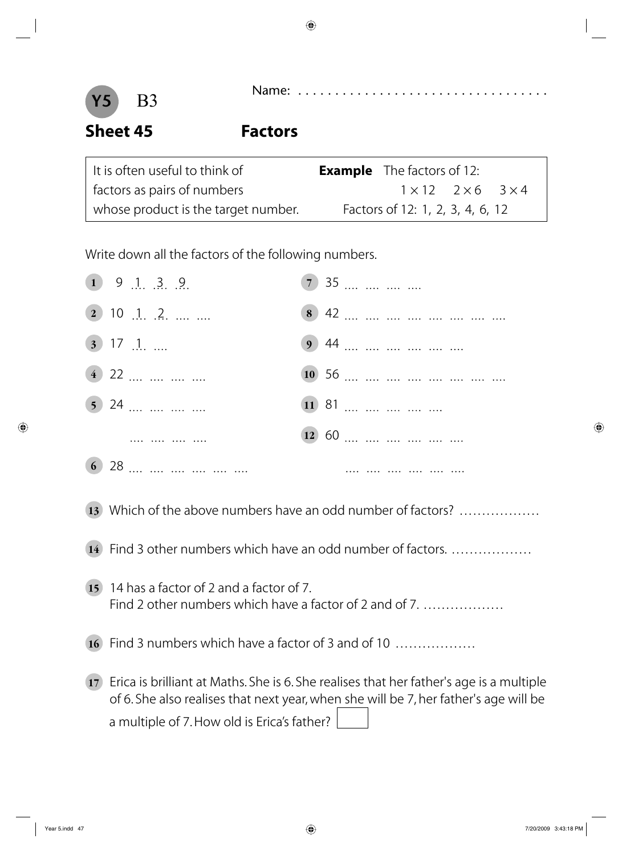



**Sheet 45 Factors**

| It is often useful to think of      | <b>Example</b> The factors of 12:       |
|-------------------------------------|-----------------------------------------|
| factors as pairs of numbers         | $1 \times 12$ $2 \times 6$ $3 \times 4$ |
| whose product is the target number. | Factors of 12: 1, 2, 3, 4, 6, 12        |

Write down all the factors of the following numbers.

| $\begin{array}{ccc} (1) & 9 & 1 & 3 & 9 \end{array}$ | 7 35  |
|------------------------------------------------------|-------|
| $(2)$ 10 $[1, 2, \dots, \dots]$                      |       |
| $(3)$ 17 $\therefore$                                | 9 44  |
| $(4)$ 22                                             |       |
| $\overline{5}$ 24                                    | 11 81 |
|                                                      | 12 60 |
| 6 28                                                 |       |

- 13 Which of the above numbers have an odd number of factors? ..................
- **14** Find 3 other numbers which have an odd number of factors. . . . . . . . . . . . . . . . . . .
- **15** 14 has a factor of 2 and a factor of 7. Find 2 other numbers which have a factor of 2 and of 7. ..................
- 16 Find 3 numbers which have a factor of 3 and of 10 ..................
- **17** Erica is brilliant at Maths. She is 6. She realises that her father's age is a multiple of 6. She also realises that next year, when she will be 7, her father's age will be a multiple of 7. How old is Erica's father?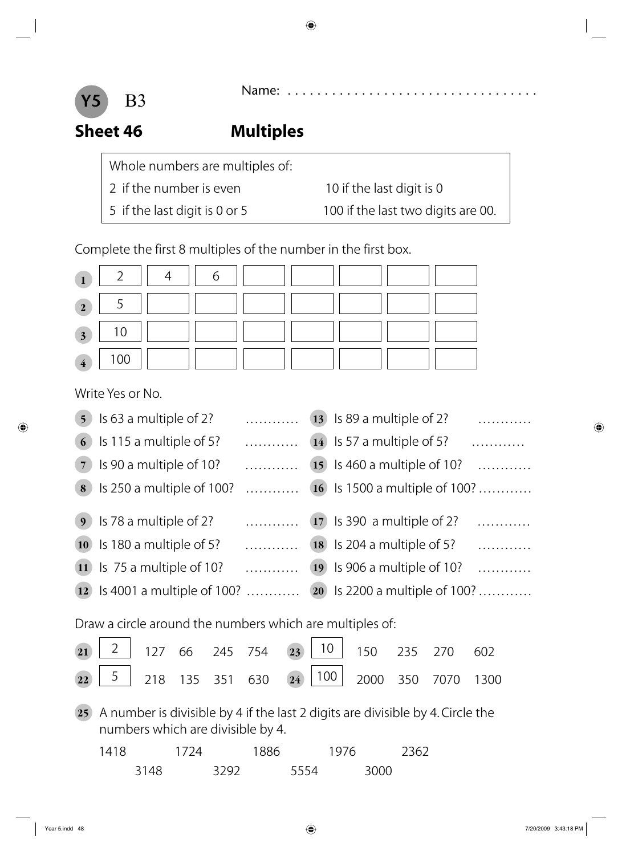



### **Sheet 46 Multiples**

Whole numbers are multiples of:

- 2 if the number is even 10 if the last digit is 0
- 

5 if the last digit is 0 or 5 100 if the last two digits are 00.

Complete the first 8 multiples of the number in the first box.

| $\mathbf{1}$            | $\overline{2}$                                                                                                      | 4    |      | 6               |      |      |                 |      |      |                              |                          |                                      |
|-------------------------|---------------------------------------------------------------------------------------------------------------------|------|------|-----------------|------|------|-----------------|------|------|------------------------------|--------------------------|--------------------------------------|
| $\overline{2}$          | 5                                                                                                                   |      |      |                 |      |      |                 |      |      |                              |                          |                                      |
| $\overline{\mathbf{3}}$ | 10                                                                                                                  |      |      |                 |      |      |                 |      |      |                              |                          |                                      |
| $\overline{\mathbf{4}}$ | 100                                                                                                                 |      |      |                 |      |      |                 |      |      |                              |                          |                                      |
|                         | Write Yes or No.                                                                                                    |      |      |                 |      |      |                 |      |      |                              |                          |                                      |
| 5 <sup>5</sup>          | Is 63 a multiple of 2?                                                                                              |      |      |                 | .    |      | 13              |      |      | Is 89 a multiple of 2?       |                          | .                                    |
| 6                       | Is 115 a multiple of 5?                                                                                             |      |      |                 | .    |      | 14              |      |      | Is 57 a multiple of 5?       |                          | .                                    |
| $\overline{7}$          | Is 90 a multiple of 10?                                                                                             |      |      |                 | .    |      | 15 <sup>2</sup> |      |      |                              | Is 460 a multiple of 10? | . <b>.</b>                           |
| 8                       | Is 250 a multiple of 100?                                                                                           |      |      |                 | .    |      |                 |      |      |                              |                          | <b>16</b> Is 1500 a multiple of 100? |
| 9 <sup>°</sup>          | Is 78 a multiple of 2?                                                                                              |      |      |                 | .    |      |                 |      |      | (17) Is 390 a multiple of 2? |                          | .                                    |
| 10                      | Is 180 a multiple of 5?                                                                                             |      |      |                 | .    |      | <b>18</b>       |      |      | Is 204 a multiple of 5?      |                          | .                                    |
| $\vert$ 11              | Is 75 a multiple of 10?                                                                                             |      |      |                 | .    |      | <b>19</b>       |      |      |                              | Is 906 a multiple of 10? | .                                    |
| $\vert$ 12              | Is 4001 a multiple of 100?                                                                                          |      |      |                 |      |      |                 |      |      |                              |                          | 20 Is 2200 a multiple of 100?        |
|                         | Draw a circle around the numbers which are multiples of:                                                            |      |      |                 |      |      |                 |      |      |                              |                          |                                      |
| 21                      | $\overline{2}$                                                                                                      | 127  | 66   | 245             | 754  | 23   | 10              |      | 150  | 235                          | 270                      | 602                                  |
| 22                      | $\frac{5}{ }$                                                                                                       |      |      | 218 135 351 630 |      | 24)  | $\boxed{100}$   |      |      | 2000 350 7070                |                          | 1300                                 |
| 25)                     | A number is divisible by 4 if the last 2 digits are divisible by 4. Circle the<br>numbers which are divisible by 4. |      |      |                 |      |      |                 |      |      |                              |                          |                                      |
|                         | 1418                                                                                                                |      | 1724 |                 | 1886 |      |                 | 1976 |      | 2362                         |                          |                                      |
|                         |                                                                                                                     | 3148 |      | 3292            |      | 5554 |                 |      | 3000 |                              |                          |                                      |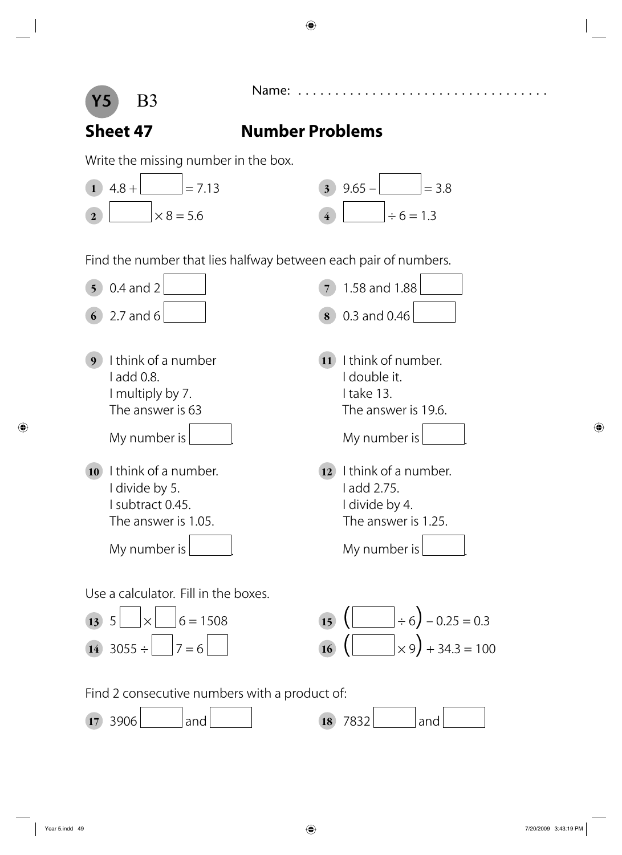



### **Sheet 47 Number Problems**

Write the missing number in the box.





Find the number that lies halfway between each pair of numbers.







Find 2 consecutive numbers with a product of:

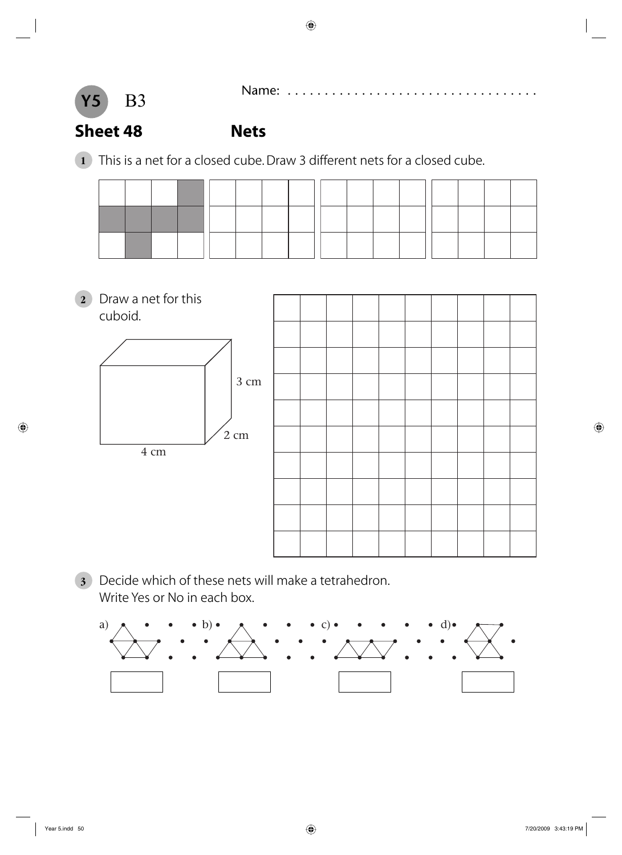



### **Sheet 48 Nets**

**1** This is a net for a closed cube. Draw 3 different nets for a closed cube.

**2** Draw a net for this cuboid. 3 cm 2 cm 4 cm

**3** Decide which of these nets will make a tetrahedron. Write Yes or No in each box.

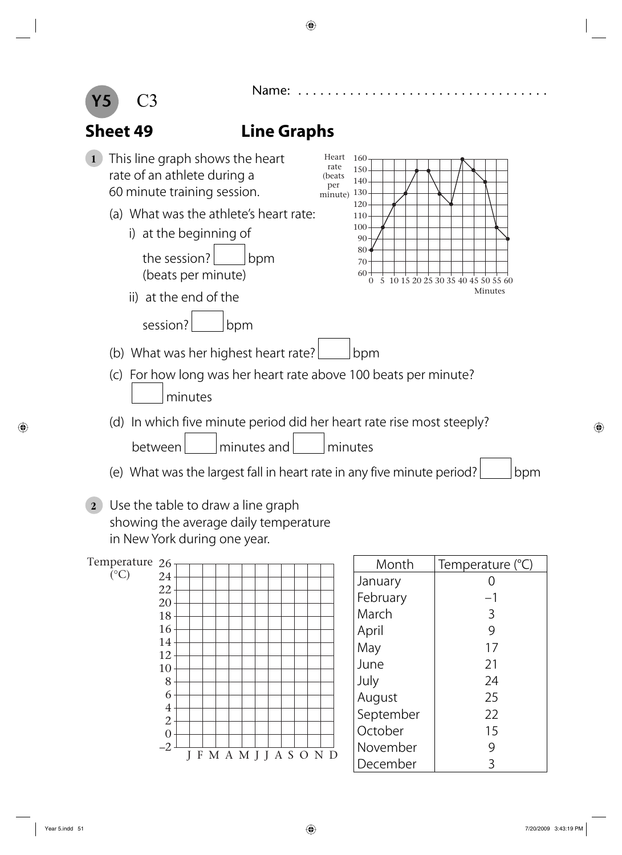

### 26 Temperature  $({}^{\circ}C)$

| - -            |   |  |  |  |  |                   |              |
|----------------|---|--|--|--|--|-------------------|--------------|
| 24             |   |  |  |  |  |                   |              |
| 22             |   |  |  |  |  |                   |              |
|                |   |  |  |  |  |                   |              |
| 20             |   |  |  |  |  |                   |              |
| 18             |   |  |  |  |  |                   |              |
| 16             |   |  |  |  |  |                   |              |
| 14             |   |  |  |  |  |                   |              |
|                |   |  |  |  |  |                   |              |
| 12             |   |  |  |  |  |                   |              |
| 10             |   |  |  |  |  |                   |              |
| 8              |   |  |  |  |  |                   |              |
| 6              |   |  |  |  |  |                   |              |
|                |   |  |  |  |  |                   |              |
| $\overline{4}$ |   |  |  |  |  |                   |              |
| $\overline{c}$ |   |  |  |  |  |                   |              |
| $\overline{0}$ |   |  |  |  |  |                   |              |
|                |   |  |  |  |  |                   |              |
| $-2$           | F |  |  |  |  | M A M J J A S O N | $\mathbf{D}$ |
|                |   |  |  |  |  |                   |              |

| Month     | Temperature (°C) |
|-----------|------------------|
| January   |                  |
| February  | -1               |
| March     | 3                |
| April     | 9                |
| May       | 17               |
| June      | 21               |
| July      | 24               |
| August    | 25               |
| September | 22               |
| October   | 15               |
| November  | 9                |
| December  |                  |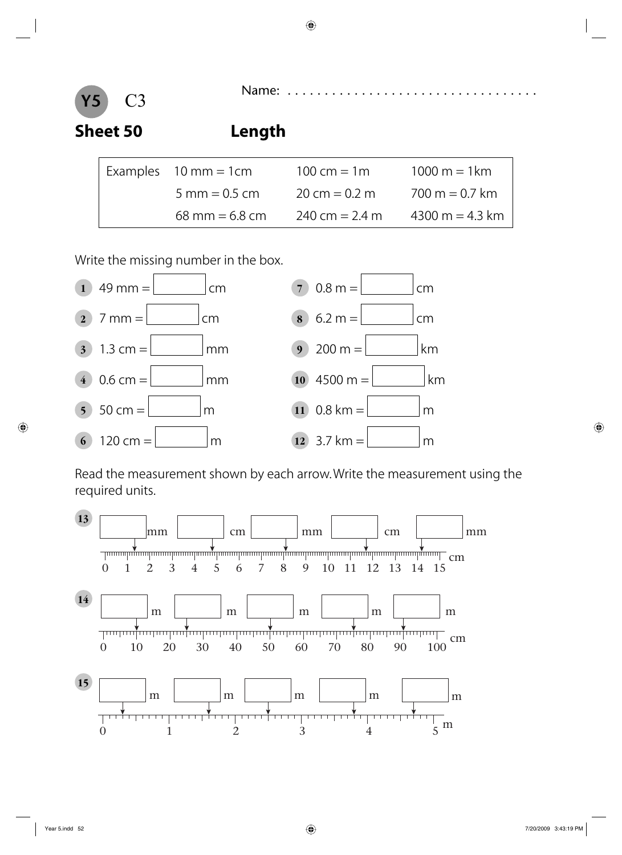## **Sheet 50 Length**

**Y5**

| Examples $10 \text{ mm} = 1 \text{ cm}$ | 100 cm = $1m$    | 1000 m = 1 km    |  |  |
|-----------------------------------------|------------------|------------------|--|--|
| $5 \text{ mm} = 0.5 \text{ cm}$         | 20 cm = $0.2$ m  | $700 m = 0.7 km$ |  |  |
| $68 \text{ mm} = 6.8 \text{ cm}$        | 240 cm = $2.4$ m | 4300 m = 4.3 km  |  |  |

Write the missing number in the box.



Read the measurement shown by each arrow. Write the measurement using the required units.

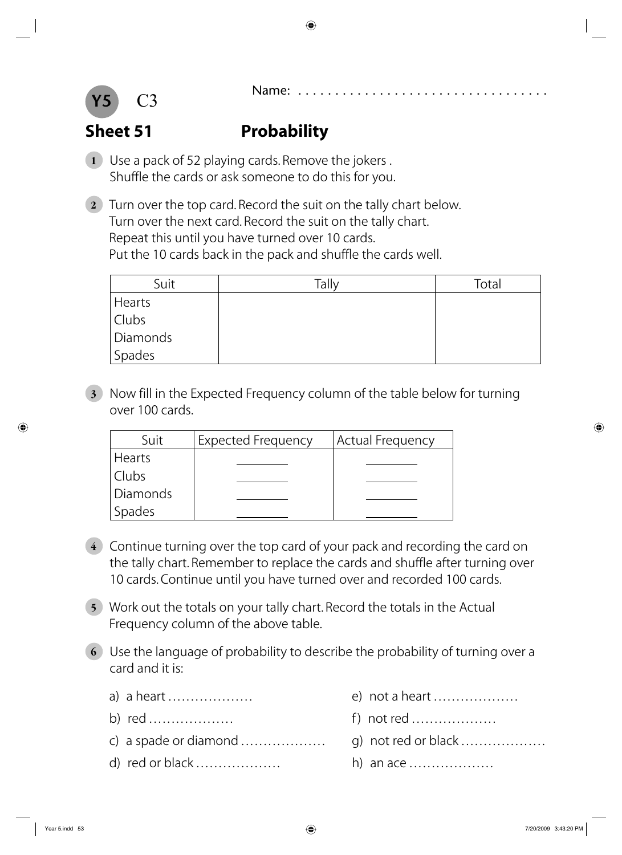

### **Sheet 51** Probability

- **1** Use a pack of 52 playing cards. Remove the jokers . Shuffle the cards or ask someone to do this for you.
- **2** Turn over the top card. Record the suit on the tally chart below. Turn over the next card. Record the suit on the tally chart. Repeat this until you have turned over 10 cards. Put the 10 cards back in the pack and shuffle the cards well.

| Suit                | Tally | Total |
|---------------------|-------|-------|
| Hearts              |       |       |
| Clubs               |       |       |
| Diamonds            |       |       |
| <sup> </sup> Spades |       |       |

**3** Now fill in the Expected Frequency column of the table below for turning over 100 cards.

| Suit            | <b>Expected Frequency</b> | Actual Frequency |
|-----------------|---------------------------|------------------|
| <b>Hearts</b>   |                           |                  |
| Clubs           |                           |                  |
| <b>Diamonds</b> |                           |                  |
| Spades          |                           |                  |

- **4** Continue turning over the top card of your pack and recording the card on the tally chart. Remember to replace the cards and shuffle after turning over 10 cards. Continue until you have turned over and recorded 100 cards.
- **5** Work out the totals on your tally chart. Record the totals in the Actual Frequency column of the above table.
- **6** Use the language of probability to describe the probability of turning over a card and it is:
	-
	-
	- c) a spade or diamond . . . . . . . . . . . . . . . . . . . g) not red or black . . . . . . . . . . . . . . . . . . .
	- d) red or black . . . . . . . . . . . . . . . . . . . h) an ace . . . . . . . . . . . . . . . . . . .
	- a) a heart . . . . . . . . . . . . . . . . . . . e) not a heart . . . . . . . . . . . . . . . . . . .
	- b) red . . . . . . . . . . . . . . . . . . . f ) not red . . . . . . . . . . . . . . . . . . .
		-
		-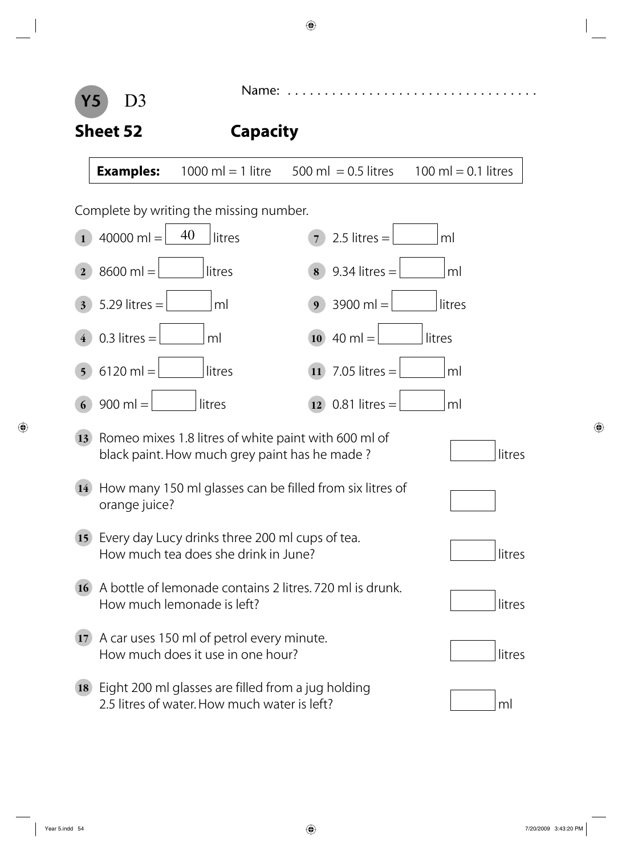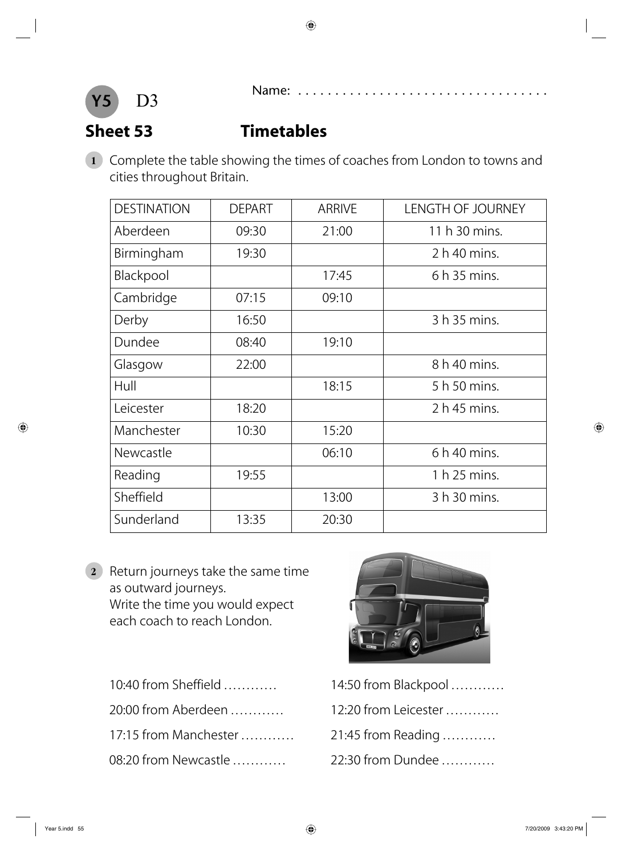

### **Sheet 53 Timetables**

**1** Complete the table showing the times of coaches from London to towns and cities throughout Britain.

| <b>DESTINATION</b> | <b>DEPART</b> | <b>ARRIVE</b> | <b>LENGTH OF JOURNEY</b> |
|--------------------|---------------|---------------|--------------------------|
| Aberdeen           | 09:30         | 21:00         | 11 h 30 mins.            |
| Birmingham         | 19:30         |               | 2 h 40 mins.             |
| Blackpool          |               | 17:45         | 6 h 35 mins.             |
| Cambridge          | 07:15         | 09:10         |                          |
| Derby              | 16:50         |               | 3 h 35 mins.             |
| Dundee             | 08:40         | 19:10         |                          |
| Glasgow            | 22:00         |               | 8 h 40 mins.             |
| Hull               |               | 18:15         | 5 h 50 mins.             |
| Leicester          | 18:20         |               | 2 h 45 mins.             |
| Manchester         | 10:30         | 15:20         |                          |
| Newcastle          |               | 06:10         | 6 h 40 mins.             |
| Reading            | 19:55         |               | 1 h 25 mins.             |
| Sheffield          |               | 13:00         | 3 h 30 mins.             |
| Sunderland         | 13:35         | 20:30         |                          |

- **2** Return journeys take the same time as outward journeys. Write the time you would expect each coach to reach London.
	- 10:40 from Sheffield . . . . . . . . . . . . 20:00 from Aberdeen . . . . . . . . . . . . 17:15 from Manchester . . . . . . . . . . . . 08:20 from Newcastle . . . . . . . . . . . .



| 14:50 from Blackpool |
|----------------------|
| 12:20 from Leicester |
| 21:45 from Reading   |
| 22:30 from Dundee    |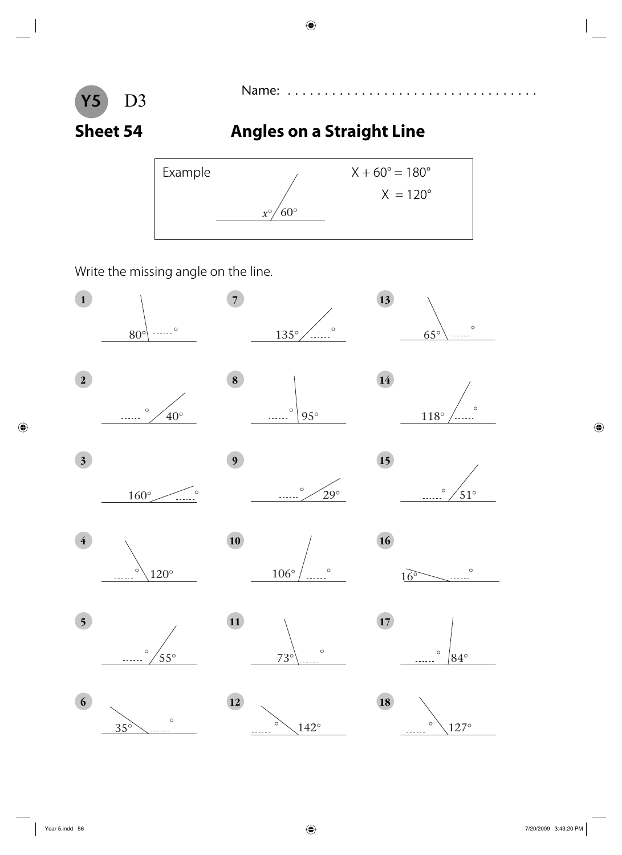

### **Sheet 54** Angles on a Straight Line



Write the missing angle on the line.

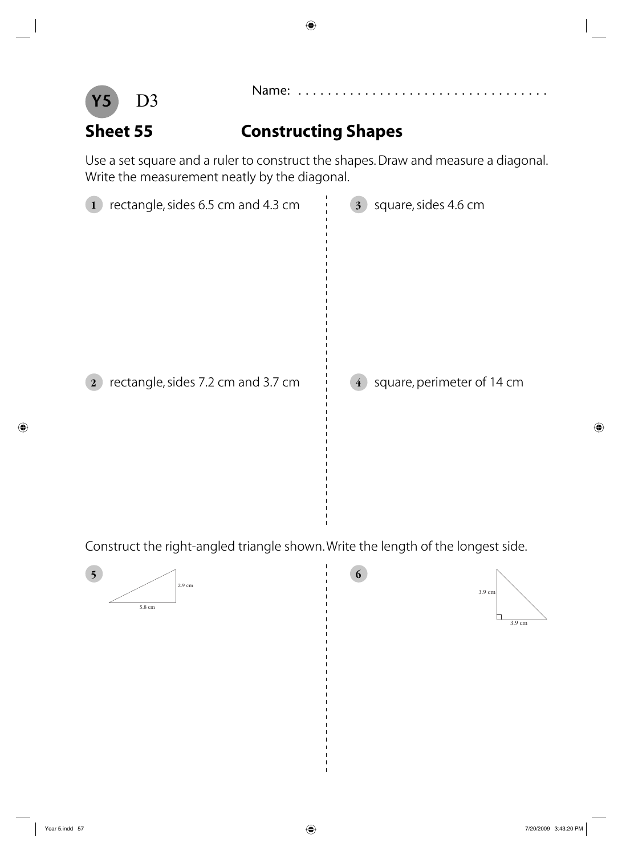

**Sheet 55 Constructing Shapes**

Use a set square and a ruler to construct the shapes. Draw and measure a diagonal. Write the measurement neatly by the diagonal.



Construct the right-angled triangle shown. Write the length of the longest side.



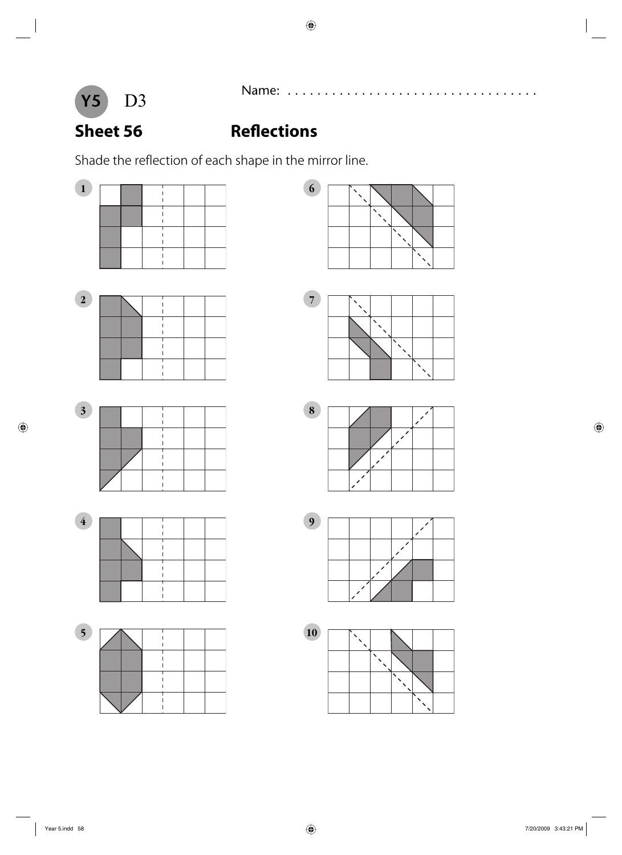

## **Sheet 56** Reflections

Shade the reflection of each shape in the mirror line.



















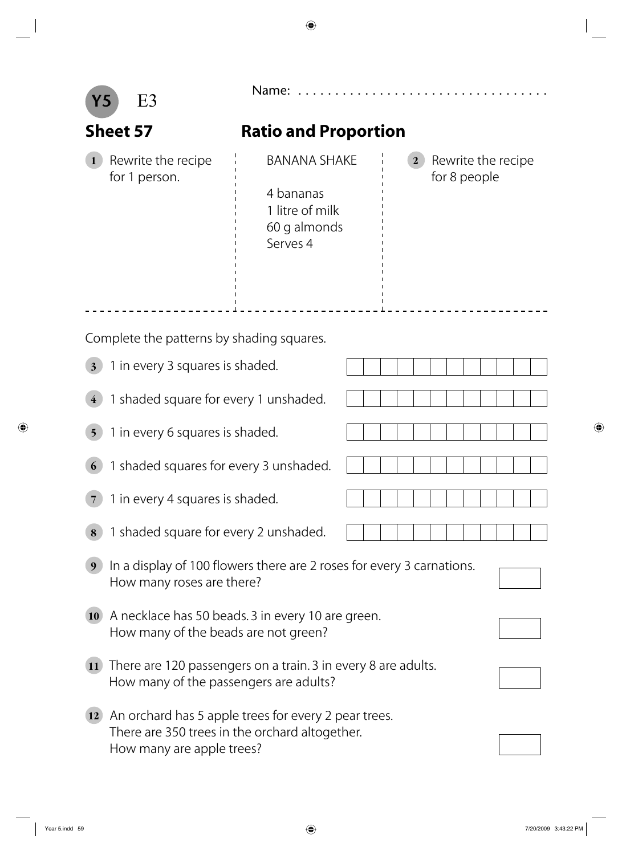|                                       | E3                                                                                                                                  | Name:                                                                                      |                                                    |  |  |  |  |
|---------------------------------------|-------------------------------------------------------------------------------------------------------------------------------------|--------------------------------------------------------------------------------------------|----------------------------------------------------|--|--|--|--|
|                                       | <b>Sheet 57</b>                                                                                                                     | <b>Ratio and Proportion</b>                                                                |                                                    |  |  |  |  |
|                                       | Rewrite the recipe<br>for 1 person.                                                                                                 | <b>BANANA SHAKE</b><br>4 bananas<br>1 litre of milk<br>60 g almonds<br>Serves <sub>4</sub> | Rewrite the recipe<br>$\mathbf{2}$<br>for 8 people |  |  |  |  |
|                                       |                                                                                                                                     |                                                                                            |                                                    |  |  |  |  |
|                                       | Complete the patterns by shading squares.                                                                                           |                                                                                            |                                                    |  |  |  |  |
| $\overline{\mathbf{3}}$               | 1 in every 3 squares is shaded.                                                                                                     |                                                                                            |                                                    |  |  |  |  |
| 1 shaded square for every 1 unshaded. |                                                                                                                                     |                                                                                            |                                                    |  |  |  |  |
| $\overline{\mathbf{5}}$               | 1 in every 6 squares is shaded.                                                                                                     |                                                                                            |                                                    |  |  |  |  |
|                                       | 1 shaded squares for every 3 unshaded.                                                                                              |                                                                                            |                                                    |  |  |  |  |
|                                       | 1 in every 4 squares is shaded.                                                                                                     |                                                                                            |                                                    |  |  |  |  |
| 8                                     | 1 shaded square for every 2 unshaded.                                                                                               |                                                                                            |                                                    |  |  |  |  |
|                                       | In a display of 100 flowers there are 2 roses for every 3 carnations.<br>How many roses are there?                                  |                                                                                            |                                                    |  |  |  |  |
| <b>10</b>                             | A necklace has 50 beads. 3 in every 10 are green.<br>How many of the beads are not green?                                           |                                                                                            |                                                    |  |  |  |  |
| <b>11</b>                             | There are 120 passengers on a train. 3 in every 8 are adults.<br>How many of the passengers are adults?                             |                                                                                            |                                                    |  |  |  |  |
| <b>12</b>                             | An orchard has 5 apple trees for every 2 pear trees.<br>There are 350 trees in the orchard altogether.<br>How many are apple trees? |                                                                                            |                                                    |  |  |  |  |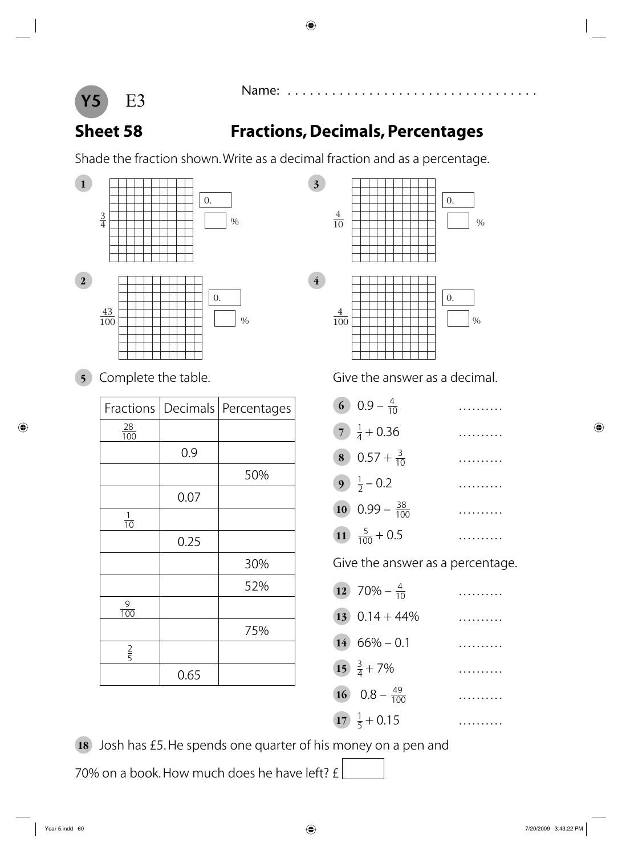



### **Sheet 58 Fractions, Decimals, Percentages**

Shade the fraction shown. Write as a decimal fraction and as a percentage.



| Fractions        | Decimals | Percentages |
|------------------|----------|-------------|
| $\frac{28}{100}$ |          |             |
|                  | 0.9      |             |
|                  |          | 50%         |
|                  | 0.07     |             |
| $\frac{1}{10}$   |          |             |
|                  | 0.25     |             |
|                  |          | 30%         |
|                  |          | 52%         |
| $\frac{9}{100}$  |          |             |
|                  |          | 75%         |
| $rac{2}{5}$      |          |             |
|                  | 0.65     |             |



**5** Complete the table. **Give the answer as a decimal.** 

| 60.9<br>. |  |  |  |  |  |  |
|-----------|--|--|--|--|--|--|
|-----------|--|--|--|--|--|--|

- **7**  $\frac{1}{4} + 0.36$  .........
- **8** 0.57 +  $\frac{3}{10}$ . . . . . . . .
- **9**  $\frac{1}{2}$  0.2 .........
- **10**  $0.99 \frac{38}{100}$  .........
- 11  $\frac{5}{100} + 0.5$  .........

Give the answer as a percentage.

- **12**  $70\% \frac{4}{10}$  $\frac{4}{10}$  ..........
- **13**  $0.14 + 44\%$  ..........
- $14 \quad 66\% 0.1$  ..........

. . . . . . . .

- 15  $\frac{3}{4} + 7\%$  .........
- **16**  $0.8 \frac{49}{100}$
- **17**  $\frac{1}{5} + 0.15$  .........

**18** Josh has £5. He spends one quarter of his money on a pen and

70% on a book. How much does he have left? £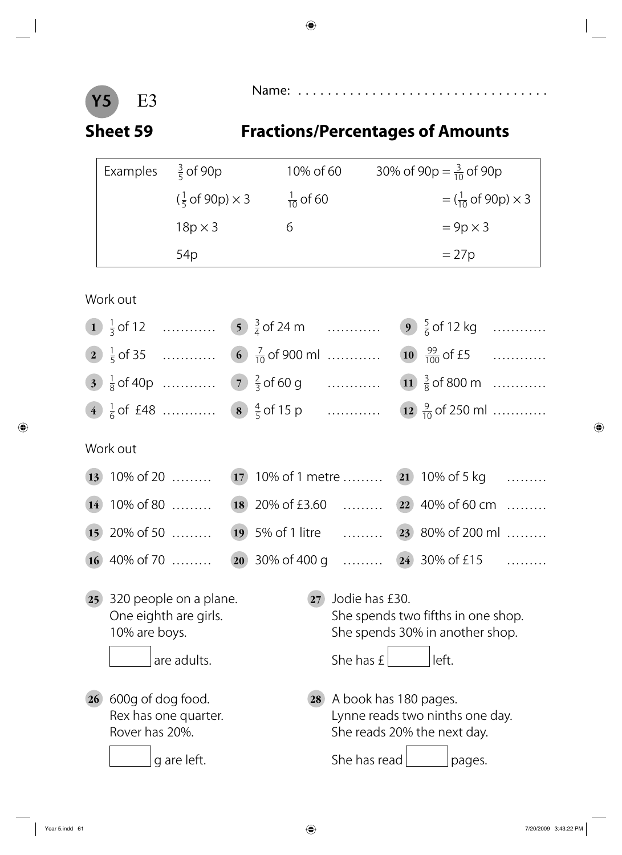

### **Sheet 59 Fractions/Percentages of Amounts**

| Examples | $\frac{3}{5}$ of 90p              | 10% of 60            | 30% of 90p = $\frac{3}{10}$ of 90p                             |
|----------|-----------------------------------|----------------------|----------------------------------------------------------------|
|          | $(\frac{1}{5}$ of 90p) $\times$ 3 | $\frac{1}{10}$ of 60 | $=\left(\frac{1}{10} \text{ of } 90 \text{ p}\right) \times 3$ |
|          | $18p \times 3$                    |                      | $= 9p \times 3$                                                |
|          | 54p                               |                      | $= 27p$                                                        |

### Work out

|    |                                                                              |    |                | 9 $\frac{5}{6}$ of 12 kg           |  |
|----|------------------------------------------------------------------------------|----|----------------|------------------------------------|--|
|    |                                                                              |    |                |                                    |  |
|    |                                                                              |    |                |                                    |  |
|    | 4 $\frac{1}{6}$ of £48  8 $\frac{4}{5}$ of 15 p  12 $\frac{9}{10}$ of 250 ml |    |                |                                    |  |
|    | Work out                                                                     |    |                |                                    |  |
|    | 13 10% of 20  17 10% of 1 metre  21 10% of 5 kg                              |    |                |                                    |  |
|    | 14 10% of 80  18 20% of £3.60  22 40% of 60 cm                               |    |                |                                    |  |
|    | 15 20% of 50  19 5% of 1 litre  23 80% of 200 ml                             |    |                |                                    |  |
|    | 16 40% of 70  20 30% of 400 g  24 30% of £15                                 |    |                |                                    |  |
| 25 | 320 people on a plane.<br>One eighth are girls.                              | 27 | Jodie has £30. | She spends two fifths in one shop. |  |
|    | 10% are boys.                                                                |    |                | She spends 30% in another shop.    |  |
|    | are adults.                                                                  |    | She has $E $   | left.                              |  |

**26** 600g of dog food. **28** A book has 180 pages. Rex has one quarter. **Example 20 Figure** Lynne reads two ninths one day. Rover has 20%. The reads 20% the next day. g are left. She has read pages.